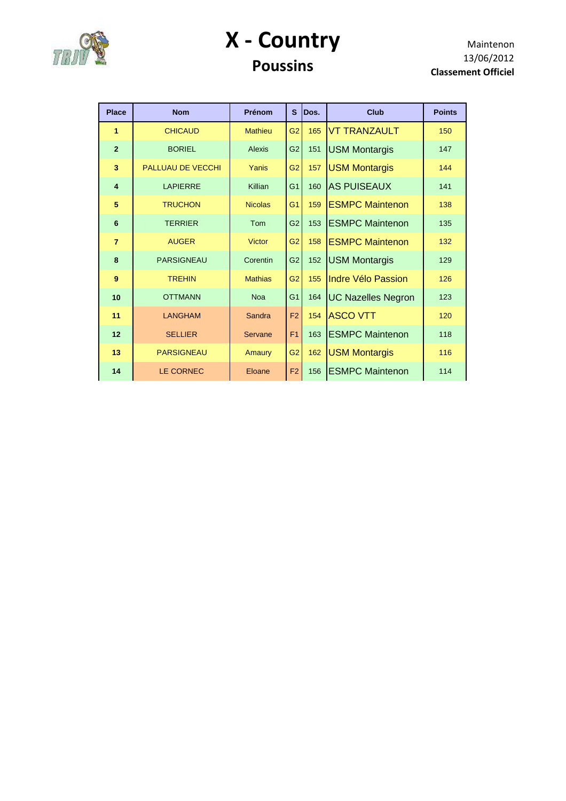

#### **X - Country Poussins**

| <b>Place</b>            | <b>Nom</b>               | Prénom         | S              | Dos. | <b>Club</b>               | <b>Points</b> |
|-------------------------|--------------------------|----------------|----------------|------|---------------------------|---------------|
| 1                       | <b>CHICAUD</b>           | <b>Mathieu</b> | G <sub>2</sub> | 165  | <b>VT TRANZAULT</b>       | 150           |
| $\overline{2}$          | <b>BORIEL</b>            | Alexis         | G <sub>2</sub> | 151  | <b>USM Montargis</b>      | 147           |
| 3                       | <b>PALLUAU DE VECCHI</b> | Yanis          | G <sub>2</sub> | 157  | <b>USM Montargis</b>      | 144           |
| $\overline{\mathbf{4}}$ | <b>LAPIERRE</b>          | Killian        | G <sub>1</sub> | 160  | <b>AS PUISEAUX</b>        | 141           |
| 5                       | <b>TRUCHON</b>           | <b>Nicolas</b> | G <sub>1</sub> | 159  | <b>ESMPC Maintenon</b>    | 138           |
| $6\phantom{1}6$         | <b>TERRIER</b>           | Tom            | G <sub>2</sub> | 153  | <b>ESMPC Maintenon</b>    | 135           |
| $\overline{7}$          | <b>AUGER</b>             | Victor         | G <sub>2</sub> | 158  | <b>ESMPC Maintenon</b>    | 132           |
| 8                       | <b>PARSIGNEAU</b>        | Corentin       | G <sub>2</sub> | 152  | <b>USM Montargis</b>      | 129           |
| 9                       | <b>TRFHIN</b>            | <b>Mathias</b> | G <sub>2</sub> | 155  | Indre Vélo Passion        | 126           |
| 10                      | <b>OTTMANN</b>           | <b>Noa</b>     | G <sub>1</sub> | 164  | <b>UC Nazelles Negron</b> | 123           |
| 11                      | <b>LANGHAM</b>           | Sandra         | F <sub>2</sub> | 154  | <b>ASCO VTT</b>           | 120           |
| 12                      | <b>SELLIER</b>           | Servane        | F <sub>1</sub> | 163  | <b>ESMPC Maintenon</b>    | 118           |
| 13                      | <b>PARSIGNEAU</b>        | Amaury         | G2             | 162  | <b>USM Montargis</b>      | 116           |
| 14                      | LE CORNEC                | Eloane         | F <sub>2</sub> | 156  | <b>ESMPC Maintenon</b>    | 114           |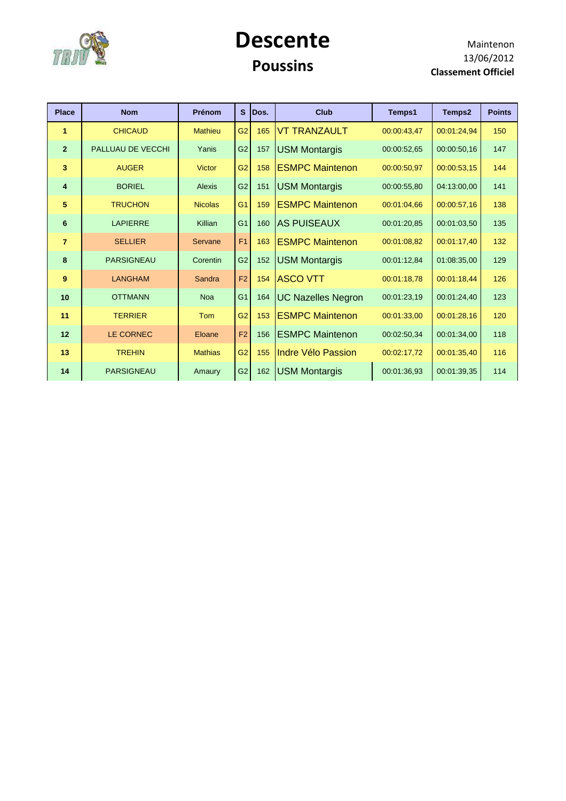

#### **Descente Poussins**

| <b>Place</b>            | <b>Nom</b>        | Prénom         | <b>S</b>       | Dos. | <b>Club</b>               | Temps1      | Temps2      | <b>Points</b> |
|-------------------------|-------------------|----------------|----------------|------|---------------------------|-------------|-------------|---------------|
| 1                       | <b>CHICAUD</b>    | <b>Mathieu</b> | G <sub>2</sub> | 165  | <b>VT TRANZAULT</b>       | 00:00:43,47 | 00:01:24,94 | 150           |
| $\overline{2}$          | PALLUAU DE VECCHI | Yanis          | G <sub>2</sub> | 157  | <b>USM Montargis</b>      | 00:00:52,65 | 00:00:50,16 | 147           |
| 3                       | <b>AUGER</b>      | <b>Victor</b>  | G <sub>2</sub> | 158  | <b>ESMPC Maintenon</b>    | 00:00:50.97 | 00:00:53,15 | 144           |
| $\overline{\mathbf{4}}$ | <b>BORIEL</b>     | <b>Alexis</b>  | G <sub>2</sub> | 151  | <b>USM Montargis</b>      | 00:00:55,80 | 04:13:00,00 | 141           |
| 5                       | <b>TRUCHON</b>    | <b>Nicolas</b> | G <sub>1</sub> | 159  | <b>ESMPC Maintenon</b>    | 00:01:04.66 | 00:00:57,16 | 138           |
| 6                       | <b>LAPIERRE</b>   | Killian        | G <sub>1</sub> | 160  | <b>AS PUISEAUX</b>        | 00:01:20,85 | 00:01:03,50 | 135           |
| $\overline{7}$          | <b>SELLIER</b>    | Servane        | F <sub>1</sub> | 163  | <b>ESMPC Maintenon</b>    | 00:01:08.82 | 00:01:17,40 | 132           |
| 8                       | <b>PARSIGNEAU</b> | Corentin       | G <sub>2</sub> | 152  | <b>USM Montargis</b>      | 00:01:12,84 | 01:08:35,00 | 129           |
| 9                       | <b>LANGHAM</b>    | Sandra         | F <sub>2</sub> | 154  | <b>ASCO VTT</b>           | 00:01:18.78 | 00:01:18,44 | 126           |
| 10                      | <b>OTTMANN</b>    | <b>Noa</b>     | G <sub>1</sub> | 164  | <b>UC Nazelles Negron</b> | 00:01:23,19 | 00:01:24,40 | 123           |
| 11                      | <b>TERRIER</b>    | <b>Tom</b>     | G <sub>2</sub> | 153  | <b>ESMPC Maintenon</b>    | 00:01:33,00 | 00:01:28,16 | 120           |
| 12                      | <b>LE CORNEC</b>  | Eloane         | F <sub>2</sub> | 156  | <b>ESMPC Maintenon</b>    | 00:02:50.34 | 00:01:34,00 | 118           |
| 13                      | <b>TREHIN</b>     | <b>Mathias</b> | G <sub>2</sub> | 155  | Indre Vélo Passion        | 00:02:17,72 | 00:01:35,40 | 116           |
| 14                      | <b>PARSIGNEAU</b> | Amaury         | G <sub>2</sub> | 162  | <b>USM Montargis</b>      | 00:01:36.93 | 00:01:39.35 | 114           |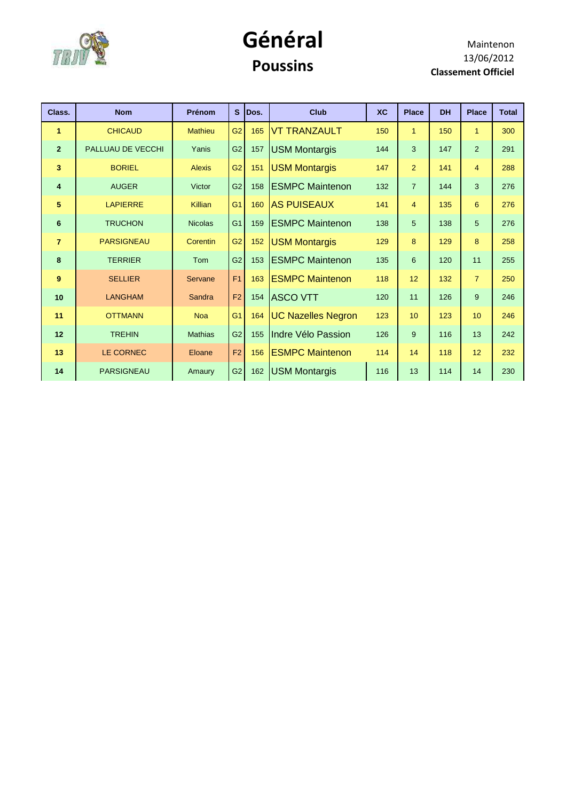

#### **Général Poussins**

| Class.         | <b>Nom</b>        | Prénom         | $\mathbf{s}$   | Dos. | <b>Club</b>               | <b>XC</b> | <b>Place</b>   | <b>DH</b> | <b>Place</b>   | <b>Total</b> |
|----------------|-------------------|----------------|----------------|------|---------------------------|-----------|----------------|-----------|----------------|--------------|
| $\mathbf{1}$   | <b>CHICAUD</b>    | <b>Mathieu</b> | G <sub>2</sub> | 165  | <b>VT TRANZAULT</b>       | 150       | $\overline{1}$ | 150       | $\mathbf{1}$   | 300          |
| 2 <sup>2</sup> | PALLUAU DE VECCHI | Yanis          | G <sub>2</sub> | 157  | <b>USM Montargis</b>      | 144       | 3              | 147       | $\overline{2}$ | 291          |
| 3              | <b>BORIEL</b>     | <b>Alexis</b>  | G2             | 151  | <b>USM Montargis</b>      | 147       | $\overline{2}$ | 141       | $\overline{4}$ | 288          |
| $\overline{4}$ | <b>AUGER</b>      | Victor         | G <sub>2</sub> | 158  | <b>ESMPC Maintenon</b>    | 132       | $\overline{7}$ | 144       | 3              | 276          |
| 5              | <b>LAPIERRE</b>   | Killian        | G <sub>1</sub> | 160  | <b>AS PUISEAUX</b>        | 141       | $\overline{4}$ | 135       | 6              | 276          |
| 6              | <b>TRUCHON</b>    | <b>Nicolas</b> | G <sub>1</sub> | 159  | <b>ESMPC Maintenon</b>    | 138       | 5 <sup>5</sup> | 138       | 5              | 276          |
| $\overline{7}$ | <b>PARSIGNEAU</b> | Corentin       | G <sub>2</sub> | 152  | <b>USM Montargis</b>      | 129       | 8              | 129       | 8              | 258          |
| 8              | <b>TERRIER</b>    | Tom            | G <sub>2</sub> | 153  | <b>ESMPC Maintenon</b>    | 135       | 6              | 120       | 11             | 255          |
| 9              | <b>SELLIER</b>    | Servane        | F <sub>1</sub> | 163  | <b>ESMPC Maintenon</b>    | 118       | 12             | 132       | $\overline{7}$ | 250          |
| 10             | <b>LANGHAM</b>    | Sandra         | F <sub>2</sub> | 154  | <b>ASCO VTT</b>           | 120       | 11             | 126       | 9              | 246          |
| 11             | <b>OTTMANN</b>    | <b>Noa</b>     | G <sub>1</sub> | 164  | <b>UC Nazelles Negron</b> | 123       | 10             | 123       | 10             | 246          |
| 12             | <b>TREHIN</b>     | <b>Mathias</b> | G2             | 155  | Indre Vélo Passion        | 126       | 9              | 116       | 13             | 242          |
| 13             | <b>LE CORNEC</b>  | Eloane         | F <sub>2</sub> | 156  | <b>ESMPC Maintenon</b>    | 114       | 14             | 118       | 12             | 232          |
| 14             | <b>PARSIGNEAU</b> | Amaury         | G2             | 162  | <b>USM Montargis</b>      | 116       | 13             | 114       | 14             | 230          |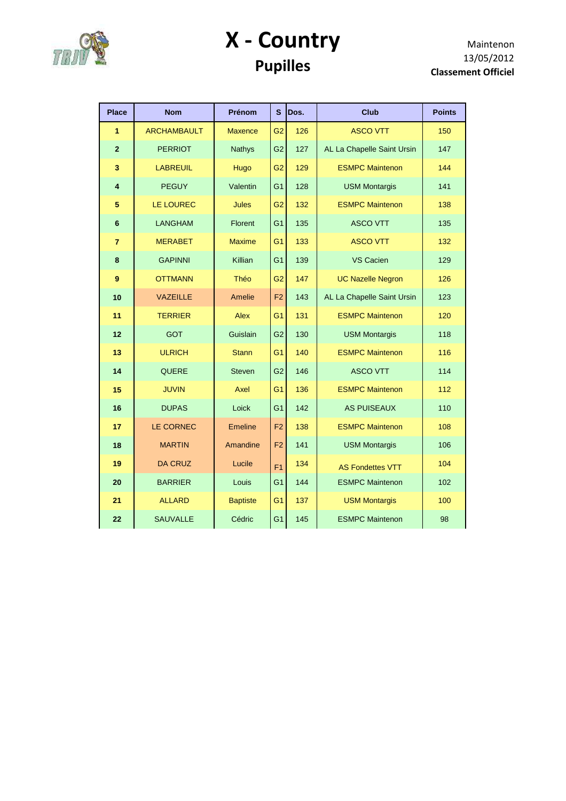

## **X - Country Pupilles**

| <b>Place</b>   | <b>Nom</b>         | Prénom          | S              | Dos. | <b>Club</b>                | <b>Points</b> |
|----------------|--------------------|-----------------|----------------|------|----------------------------|---------------|
| 1              | <b>ARCHAMBAULT</b> | <b>Maxence</b>  | G <sub>2</sub> | 126  | <b>ASCO VTT</b>            | 150           |
| $\overline{2}$ | <b>PERRIOT</b>     | <b>Nathys</b>   | G <sub>2</sub> | 127  | AL La Chapelle Saint Ursin | 147           |
| 3              | <b>LABREUIL</b>    | Hugo            | G <sub>2</sub> | 129  | <b>ESMPC Maintenon</b>     | 144           |
| 4              | <b>PEGUY</b>       | Valentin        | G <sub>1</sub> | 128  | <b>USM Montargis</b>       | 141           |
| 5              | LE LOUREC          | <b>Jules</b>    | G <sub>2</sub> | 132  | <b>ESMPC Maintenon</b>     | 138           |
| $6\phantom{1}$ | <b>LANGHAM</b>     | Florent         | G <sub>1</sub> | 135  | <b>ASCO VTT</b>            | 135           |
| $\overline{7}$ | <b>MERABET</b>     | <b>Maxime</b>   | G1             | 133  | <b>ASCO VTT</b>            | 132           |
| 8              | <b>GAPINNI</b>     | Killian         | G <sub>1</sub> | 139  | <b>VS Cacien</b>           | 129           |
| 9              | <b>OTTMANN</b>     | Théo            | G <sub>2</sub> | 147  | <b>UC Nazelle Negron</b>   | 126           |
| 10             | <b>VAZEILLE</b>    | Amelie          | F <sub>2</sub> | 143  | AL La Chapelle Saint Ursin | 123           |
| 11             | <b>TERRIER</b>     | Alex            | G <sub>1</sub> | 131  | <b>ESMPC Maintenon</b>     | 120           |
| 12             | <b>GOT</b>         | Guislain        | G <sub>2</sub> | 130  | <b>USM Montargis</b>       | 118           |
| 13             | <b>ULRICH</b>      | <b>Stann</b>    | G <sub>1</sub> | 140  | <b>ESMPC Maintenon</b>     | 116           |
| 14             | QUERE              | <b>Steven</b>   | G <sub>2</sub> | 146  | <b>ASCO VTT</b>            | 114           |
| 15             | <b>JUVIN</b>       | Axel            | G <sub>1</sub> | 136  | <b>ESMPC Maintenon</b>     | 112           |
| 16             | <b>DUPAS</b>       | Loick           | G <sub>1</sub> | 142  | <b>AS PUISEAUX</b>         | 110           |
| 17             | <b>LE CORNEC</b>   | <b>Emeline</b>  | F <sub>2</sub> | 138  | <b>ESMPC Maintenon</b>     | 108           |
| 18             | <b>MARTIN</b>      | Amandine        | F <sub>2</sub> | 141  | <b>USM Montargis</b>       | 106           |
| 19             | <b>DA CRUZ</b>     | Lucile          | F <sub>1</sub> | 134  | <b>AS Fondettes VTT</b>    | 104           |
| 20             | <b>BARRIER</b>     | Louis           | G <sub>1</sub> | 144  | <b>ESMPC Maintenon</b>     | 102           |
| 21             | <b>ALLARD</b>      | <b>Baptiste</b> | G1             | 137  | <b>USM Montargis</b>       | 100           |
| 22             | <b>SAUVALLE</b>    | Cédric          | G <sub>1</sub> | 145  | <b>ESMPC Maintenon</b>     | 98            |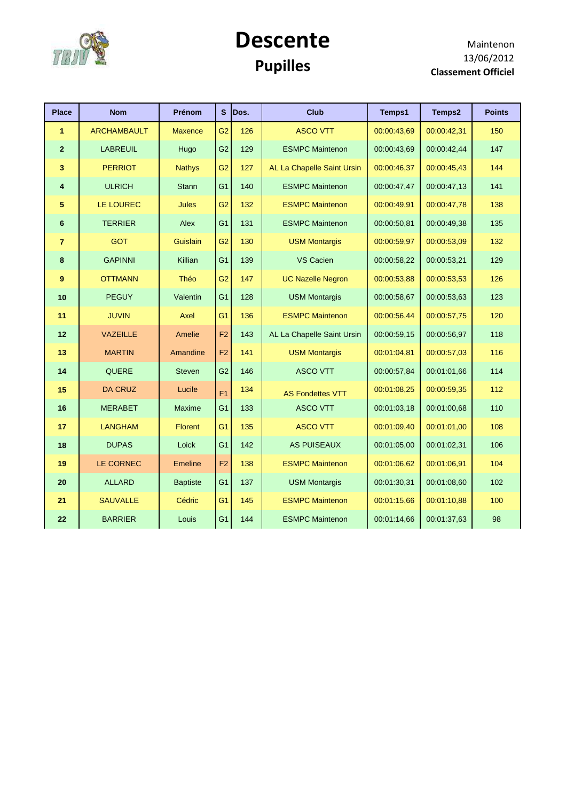

### **Descente Pupilles**

| <b>Place</b>   | <b>Nom</b>         | Prénom          | S              | Dos. | <b>Club</b>                | <b>Temps1</b> | Temps2      | <b>Points</b> |
|----------------|--------------------|-----------------|----------------|------|----------------------------|---------------|-------------|---------------|
| $\mathbf{1}$   | <b>ARCHAMBAULT</b> | <b>Maxence</b>  | G <sub>2</sub> | 126  | <b>ASCO VTT</b>            | 00:00:43,69   | 00:00:42,31 | 150           |
| $\mathbf{2}$   | <b>LABREUIL</b>    | Hugo            | G <sub>2</sub> | 129  | <b>ESMPC Maintenon</b>     | 00:00:43,69   | 00:00:42,44 | 147           |
| 3              | <b>PERRIOT</b>     | <b>Nathys</b>   | G <sub>2</sub> | 127  | AL La Chapelle Saint Ursin | 00:00:46,37   | 00:00:45,43 | 144           |
| 4              | <b>ULRICH</b>      | <b>Stann</b>    | G <sub>1</sub> | 140  | <b>ESMPC Maintenon</b>     | 00:00:47,47   | 00:00:47,13 | 141           |
| 5              | LE LOUREC          | Jules           | G <sub>2</sub> | 132  | <b>ESMPC Maintenon</b>     | 00:00:49,91   | 00:00:47,78 | 138           |
| 6              | <b>TERRIER</b>     | Alex            | G <sub>1</sub> | 131  | <b>ESMPC Maintenon</b>     | 00:00:50,81   | 00:00:49,38 | 135           |
| $\overline{7}$ | <b>GOT</b>         | Guislain        | G <sub>2</sub> | 130  | <b>USM Montargis</b>       | 00:00:59,97   | 00:00:53,09 | 132           |
| 8              | <b>GAPINNI</b>     | Killian         | G <sub>1</sub> | 139  | VS Cacien                  | 00:00:58,22   | 00:00:53,21 | 129           |
| 9              | <b>OTTMANN</b>     | Théo            | G <sub>2</sub> | 147  | <b>UC Nazelle Negron</b>   | 00:00:53,88   | 00:00:53,53 | 126           |
| 10             | <b>PEGUY</b>       | Valentin        | G <sub>1</sub> | 128  | <b>USM Montargis</b>       | 00:00:58,67   | 00:00:53,63 | 123           |
| 11             | <b>JUVIN</b>       | Axel            | G <sub>1</sub> | 136  | <b>ESMPC Maintenon</b>     | 00:00:56,44   | 00:00:57,75 | 120           |
| $12$           | <b>VAZEILLE</b>    | Amelie          | F <sub>2</sub> | 143  | AL La Chapelle Saint Ursin | 00:00:59,15   | 00:00:56,97 | 118           |
| 13             | <b>MARTIN</b>      | Amandine        | F <sub>2</sub> | 141  | <b>USM Montargis</b>       | 00:01:04,81   | 00:00:57,03 | 116           |
| 14             | QUERE              | <b>Steven</b>   | G <sub>2</sub> | 146  | <b>ASCO VTT</b>            | 00:00:57,84   | 00:01:01,66 | 114           |
| 15             | <b>DA CRUZ</b>     | Lucile          | F <sub>1</sub> | 134  | <b>AS Fondettes VTT</b>    | 00:01:08,25   | 00:00:59,35 | 112           |
| 16             | <b>MERABET</b>     | <b>Maxime</b>   | G <sub>1</sub> | 133  | <b>ASCO VTT</b>            | 00:01:03,18   | 00:01:00.68 | 110           |
| 17             | <b>LANGHAM</b>     | <b>Florent</b>  | G <sub>1</sub> | 135  | <b>ASCO VTT</b>            | 00:01:09,40   | 00:01:01,00 | 108           |
| 18             | <b>DUPAS</b>       | Loick           | G <sub>1</sub> | 142  | <b>AS PUISEAUX</b>         | 00:01:05.00   | 00:01:02.31 | 106           |
| 19             | LE CORNEC          | Emeline         | F <sub>2</sub> | 138  | <b>ESMPC Maintenon</b>     | 00:01:06,62   | 00:01:06,91 | 104           |
| 20             | <b>ALLARD</b>      | <b>Baptiste</b> | G <sub>1</sub> | 137  | <b>USM Montargis</b>       | 00:01:30,31   | 00:01:08.60 | 102           |
| 21             | <b>SAUVALLE</b>    | Cédric          | G <sub>1</sub> | 145  | <b>ESMPC Maintenon</b>     | 00:01:15.66   | 00:01:10.88 | 100           |
| 22             | <b>BARRIER</b>     | Louis           | G <sub>1</sub> | 144  | <b>ESMPC Maintenon</b>     | 00:01:14,66   | 00:01:37,63 | 98            |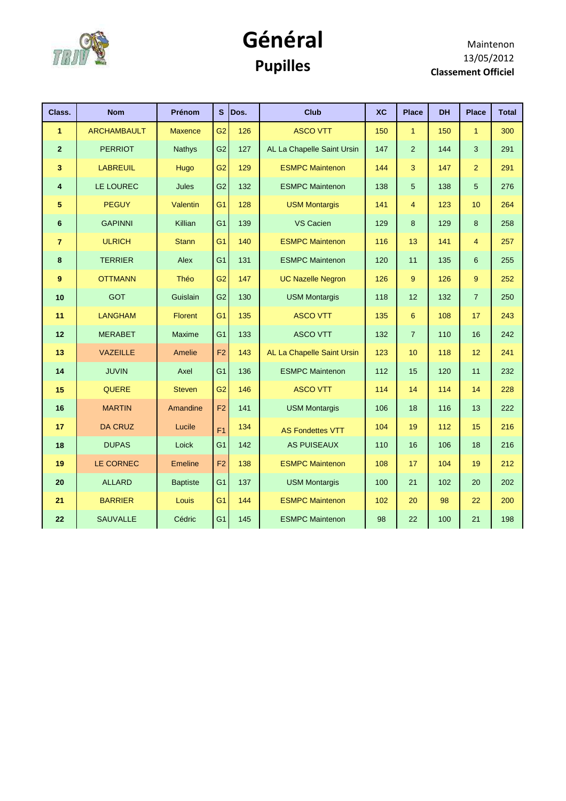

## **Général Pupilles**

| Class.          | <b>Nom</b>         | Prénom          |                | S Dos. | <b>Club</b>                | <b>XC</b> | <b>Place</b>     | <b>DH</b> | <b>Place</b>    | <b>Total</b> |
|-----------------|--------------------|-----------------|----------------|--------|----------------------------|-----------|------------------|-----------|-----------------|--------------|
| 1               | <b>ARCHAMBAULT</b> | <b>Maxence</b>  | G <sub>2</sub> | 126    | <b>ASCO VTT</b>            | 150       | 1                | 150       | $\mathbf{1}$    | 300          |
| $\overline{2}$  | <b>PERRIOT</b>     | <b>Nathys</b>   | G <sub>2</sub> | 127    | AL La Chapelle Saint Ursin | 147       | $\overline{2}$   | 144       | 3               | 291          |
| 3               | <b>LABREUIL</b>    | Hugo            | G <sub>2</sub> | 129    | <b>ESMPC Maintenon</b>     | 144       | 3                | 147       | $\overline{2}$  | 291          |
| 4               | LE LOUREC          | Jules           | G <sub>2</sub> | 132    | <b>ESMPC Maintenon</b>     | 138       | 5                | 138       | 5               | 276          |
| 5               | <b>PEGUY</b>       | Valentin        | G <sub>1</sub> | 128    | <b>USM Montargis</b>       | 141       | 4                | 123       | 10              | 264          |
| $6\phantom{1}6$ | <b>GAPINNI</b>     | Killian         | G <sub>1</sub> | 139    | VS Cacien                  | 129       | 8                | 129       | 8               | 258          |
| $\overline{7}$  | <b>ULRICH</b>      | <b>Stann</b>    | G <sub>1</sub> | 140    | <b>ESMPC Maintenon</b>     | 116       | 13               | 141       | $\overline{4}$  | 257          |
| 8               | <b>TERRIER</b>     | Alex            | G <sub>1</sub> | 131    | <b>ESMPC Maintenon</b>     | 120       | 11               | 135       | $6\phantom{1}6$ | 255          |
| 9               | <b>OTTMANN</b>     | Théo            | G <sub>2</sub> | 147    | <b>UC Nazelle Negron</b>   | 126       | 9                | 126       | 9               | 252          |
| 10              | <b>GOT</b>         | Guislain        | G <sub>2</sub> | 130    | <b>USM Montargis</b>       | 118       | 12               | 132       | $\overline{7}$  | 250          |
| 11              | <b>LANGHAM</b>     | Florent         | G <sub>1</sub> | 135    | <b>ASCO VTT</b>            | 135       | $\boldsymbol{6}$ | 108       | 17              | 243          |
| 12              | <b>MERABET</b>     | Maxime          | G <sub>1</sub> | 133    | <b>ASCO VTT</b>            | 132       | $\overline{7}$   | 110       | 16              | 242          |
| 13              | <b>VAZEILLE</b>    | Amelie          | F <sub>2</sub> | 143    | AL La Chapelle Saint Ursin | 123       | 10               | 118       | 12              | 241          |
| 14              | <b>JUVIN</b>       | Axel            | G <sub>1</sub> | 136    | <b>ESMPC Maintenon</b>     | 112       | 15               | 120       | 11              | 232          |
| 15              | QUERE              | <b>Steven</b>   | G <sub>2</sub> | 146    | <b>ASCO VTT</b>            | 114       | 14               | 114       | 14              | 228          |
| 16              | <b>MARTIN</b>      | Amandine        | F2             | 141    | <b>USM Montargis</b>       | 106       | 18               | 116       | 13              | 222          |
| 17              | <b>DA CRUZ</b>     | Lucile          | F <sub>1</sub> | 134    | <b>AS Fondettes VTT</b>    | 104       | 19               | 112       | 15              | 216          |
| 18              | <b>DUPAS</b>       | Loick           | G <sub>1</sub> | 142    | <b>AS PUISEAUX</b>         | 110       | 16               | 106       | 18              | 216          |
| 19              | LE CORNEC          | <b>Emeline</b>  | F <sub>2</sub> | 138    | <b>ESMPC Maintenon</b>     | 108       | 17               | 104       | 19              | 212          |
| 20              | <b>ALLARD</b>      | <b>Baptiste</b> | G <sub>1</sub> | 137    | <b>USM Montargis</b>       | 100       | 21               | 102       | 20              | 202          |
| 21              | <b>BARRIER</b>     | Louis           | G <sub>1</sub> | 144    | <b>ESMPC Maintenon</b>     | 102       | 20               | 98        | 22              | 200          |
| 22              | <b>SAUVALLE</b>    | Cédric          | G <sub>1</sub> | 145    | <b>ESMPC Maintenon</b>     | 98        | 22               | 100       | 21              | 198          |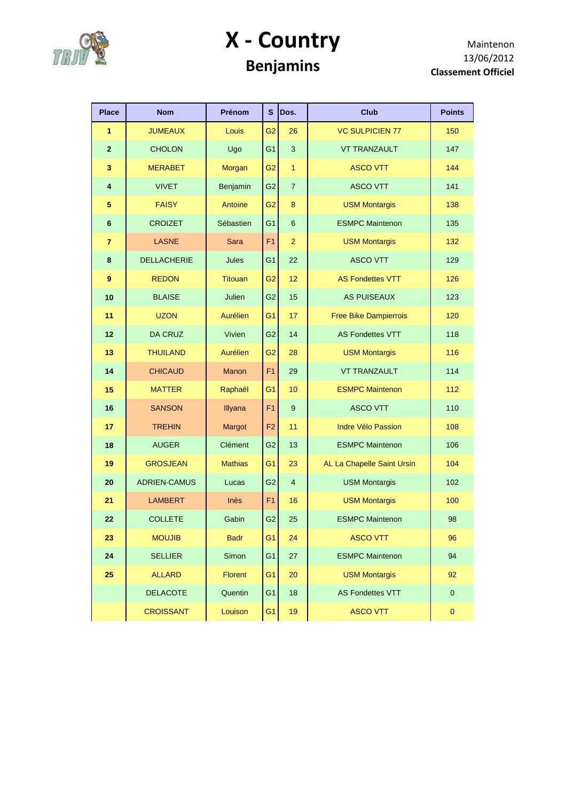

## **X - Country Benjamins**

| <b>Place</b>            | <b>Nom</b>          | <b>Prénom</b>  | S              | Dos.             | <b>Club</b>                  | <b>Points</b> |
|-------------------------|---------------------|----------------|----------------|------------------|------------------------------|---------------|
| 1                       | <b>JUMEAUX</b>      | Louis          | G <sub>2</sub> | 26               | <b>VC SULPICIEN 77</b>       | 150           |
| $\overline{2}$          | <b>CHOLON</b>       | Ugo            | G <sub>1</sub> | $\mathbf{3}$     | <b>VT TRANZAULT</b>          | 147           |
| $\overline{\mathbf{3}}$ | <b>MERABET</b>      | Morgan         | G <sub>2</sub> | $\mathbf{1}$     | <b>ASCO VTT</b>              | 144           |
| 4                       | <b>VIVET</b>        | Benjamin       | G <sub>2</sub> | $\overline{7}$   | <b>ASCO VTT</b>              | 141           |
| 5                       | <b>FAISY</b>        | Antoine        | G <sub>2</sub> | 8                | <b>USM Montargis</b>         | 138           |
| $\bf 6$                 | <b>CROIZET</b>      | Sébastien      | G <sub>1</sub> | $6\phantom{1}$   | <b>ESMPC Maintenon</b>       | 135           |
| $\overline{7}$          | <b>LASNE</b>        | Sara           | F <sub>1</sub> | 2                | <b>USM Montargis</b>         | 132           |
| 8                       | <b>DELLACHERIE</b>  | Jules          | G <sub>1</sub> | 22               | <b>ASCO VTT</b>              | 129           |
| 9                       | <b>REDON</b>        | <b>Titouan</b> | G <sub>2</sub> | 12 <sup>2</sup>  | <b>AS Fondettes VTT</b>      | 126           |
| 10                      | <b>BLAISE</b>       | Julien         | G <sub>2</sub> | 15               | <b>AS PUISEAUX</b>           | 123           |
| 11                      | <b>UZON</b>         | Aurélien       | G <sub>1</sub> | 17               | <b>Free Bike Dampierrois</b> | 120           |
| 12                      | <b>DA CRUZ</b>      | Vivien         | G <sub>2</sub> | 14               | <b>AS Fondettes VTT</b>      | 118           |
| 13                      | <b>THUILAND</b>     | Aurélien       | G <sub>2</sub> | 28               | <b>USM Montargis</b>         | 116           |
| 14                      | <b>CHICAUD</b>      | Manon          | F1             | 29               | <b>VT TRANZAULT</b>          | 114           |
| 15                      | <b>MATTER</b>       | Raphaël        | G <sub>1</sub> | 10               | <b>ESMPC Maintenon</b>       | 112           |
| 16                      | <b>SANSON</b>       | Illyana        | F <sub>1</sub> | $\boldsymbol{9}$ | <b>ASCO VTT</b>              | 110           |
| 17                      | <b>TREHIN</b>       | Margot         | F <sub>2</sub> | 11               | <b>Indre Vélo Passion</b>    | 108           |
| 18                      | <b>AUGER</b>        | Clément        | G <sub>2</sub> | 13               | <b>ESMPC Maintenon</b>       | 106           |
| 19                      | <b>GROSJEAN</b>     | <b>Mathias</b> | G <sub>1</sub> | 23               | AL La Chapelle Saint Ursin   | 104           |
| 20                      | <b>ADRIEN-CAMUS</b> | Lucas          | G <sub>2</sub> | $\overline{4}$   | <b>USM Montargis</b>         | 102           |
| 21                      | <b>LAMBERT</b>      | Inès           | F1             | 16               | <b>USM Montargis</b>         | 100           |
| 22                      | <b>COLLETE</b>      | Gabin          | G <sub>2</sub> | 25               | <b>ESMPC Maintenon</b>       | 98            |
| 23                      | <b>MOUJIB</b>       | <b>Badr</b>    | G <sub>1</sub> | 24               | <b>ASCO VTT</b>              | 96            |
| 24                      | <b>SELLIER</b>      | Simon          | G <sub>1</sub> | 27               | <b>ESMPC Maintenon</b>       | 94            |
| 25                      | <b>ALLARD</b>       | Florent        | G <sub>1</sub> | 20               | <b>USM Montargis</b>         | 92            |
|                         | <b>DELACOTE</b>     | Quentin        | G <sub>1</sub> | 18               | <b>AS Fondettes VTT</b>      | $\mathbf 0$   |
|                         | <b>CROISSANT</b>    | Louison        | G <sub>1</sub> | 19               | <b>ASCO VTT</b>              | $\pmb{0}$     |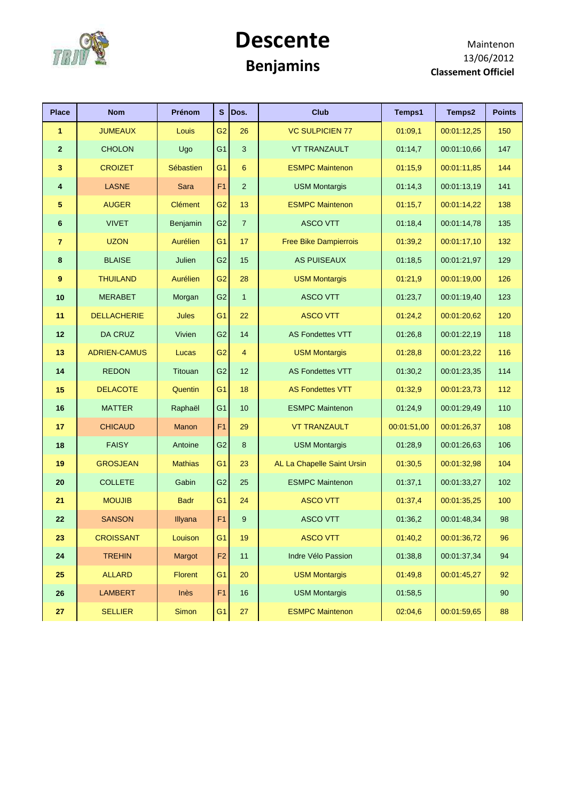

### **Descente Benjamins**

| <b>Place</b>   | <b>Nom</b>          | Prénom         | $\mathbf{s}$   | Dos.           | <b>Club</b>                  | Temps1      | Temps2      | <b>Points</b> |
|----------------|---------------------|----------------|----------------|----------------|------------------------------|-------------|-------------|---------------|
| 1              | <b>JUMEAUX</b>      | Louis          | G <sub>2</sub> | 26             | <b>VC SULPICIEN 77</b>       | 01:09,1     | 00:01:12,25 | 150           |
| $\overline{2}$ | <b>CHOLON</b>       | Ugo            | G <sub>1</sub> | $\mathbf{3}$   | <b>VT TRANZAULT</b>          | 01:14,7     | 00:01:10,66 | 147           |
| 3              | <b>CROIZET</b>      | Sébastien      | G <sub>1</sub> | 6              | <b>ESMPC Maintenon</b>       | 01:15,9     | 00:01:11,85 | 144           |
| 4              | <b>LASNE</b>        | Sara           | F <sub>1</sub> | $\overline{2}$ | <b>USM Montargis</b>         | 01:14,3     | 00:01:13,19 | 141           |
| 5              | <b>AUGER</b>        | <b>Clément</b> | G <sub>2</sub> | 13             | <b>ESMPC Maintenon</b>       | 01:15,7     | 00:01:14,22 | 138           |
| 6              | <b>VIVET</b>        | Benjamin       | G <sub>2</sub> | $\overline{7}$ | <b>ASCO VTT</b>              | 01:18,4     | 00:01:14,78 | 135           |
| $\overline{7}$ | <b>UZON</b>         | Aurélien       | G <sub>1</sub> | 17             | <b>Free Bike Dampierrois</b> | 01:39,2     | 00:01:17,10 | 132           |
| 8              | <b>BLAISE</b>       | Julien         | G2             | 15             | <b>AS PUISEAUX</b>           | 01:18,5     | 00:01:21,97 | 129           |
| 9              | <b>THUILAND</b>     | Aurélien       | G <sub>2</sub> | 28             | <b>USM Montargis</b>         | 01:21,9     | 00:01:19,00 | 126           |
| 10             | <b>MERABET</b>      | Morgan         | G <sub>2</sub> | $\mathbf{1}$   | <b>ASCO VTT</b>              | 01:23,7     | 00:01:19,40 | 123           |
| 11             | <b>DELLACHERIE</b>  | Jules          | G <sub>1</sub> | 22             | <b>ASCO VTT</b>              | 01:24,2     | 00:01:20,62 | 120           |
| $12$           | <b>DA CRUZ</b>      | Vivien         | G <sub>2</sub> | 14             | <b>AS Fondettes VTT</b>      | 01:26,8     | 00:01:22,19 | 118           |
| 13             | <b>ADRIEN-CAMUS</b> | Lucas          | G <sub>2</sub> | $\overline{4}$ | <b>USM Montargis</b>         | 01:28,8     | 00:01:23,22 | 116           |
| 14             | <b>REDON</b>        | Titouan        | G <sub>2</sub> | 12             | <b>AS Fondettes VTT</b>      | 01:30,2     | 00:01:23,35 | 114           |
| 15             | <b>DELACOTE</b>     | Quentin        | G <sub>1</sub> | 18             | <b>AS Fondettes VTT</b>      | 01:32,9     | 00:01:23,73 | 112           |
| 16             | <b>MATTER</b>       | Raphaël        | G <sub>1</sub> | 10             | <b>ESMPC Maintenon</b>       | 01:24,9     | 00:01:29,49 | 110           |
| 17             | <b>CHICAUD</b>      | <b>Manon</b>   | F <sub>1</sub> | 29             | <b>VT TRANZAULT</b>          | 00:01:51,00 | 00:01:26,37 | 108           |
| 18             | <b>FAISY</b>        | Antoine        | G <sub>2</sub> | 8              | <b>USM Montargis</b>         | 01:28,9     | 00:01:26,63 | 106           |
| 19             | <b>GROSJEAN</b>     | <b>Mathias</b> | G <sub>1</sub> | 23             | AL La Chapelle Saint Ursin   | 01:30,5     | 00:01:32,98 | 104           |
| 20             | <b>COLLETE</b>      | Gabin          | G <sub>2</sub> | 25             | <b>ESMPC Maintenon</b>       | 01:37,1     | 00:01:33,27 | 102           |
| 21             | <b>MOUJIB</b>       | <b>Badr</b>    | G <sub>1</sub> | 24             | <b>ASCO VTT</b>              | 01:37,4     | 00:01:35,25 | 100           |
| 22             | <b>SANSON</b>       | Illyana        | F <sub>1</sub> | 9              | <b>ASCO VTT</b>              | 01:36,2     | 00:01:48,34 | 98            |
| 23             | <b>CROISSANT</b>    | Louison        | G <sub>1</sub> | 19             | <b>ASCO VTT</b>              | 01:40,2     | 00:01:36,72 | 96            |
| 24             | <b>TREHIN</b>       | Margot         | F <sub>2</sub> | 11             | Indre Vélo Passion           | 01:38,8     | 00:01:37,34 | 94            |
| 25             | <b>ALLARD</b>       | <b>Florent</b> | G <sub>1</sub> | 20             | <b>USM Montargis</b>         | 01:49,8     | 00:01:45,27 | 92            |
| 26             | <b>LAMBERT</b>      | Inès           | F <sub>1</sub> | 16             | <b>USM Montargis</b>         | 01:58,5     |             | 90            |
| 27             | <b>SELLIER</b>      | Simon          | G <sub>1</sub> | $27\,$         | <b>ESMPC Maintenon</b>       | 02:04,6     | 00:01:59,65 | 88            |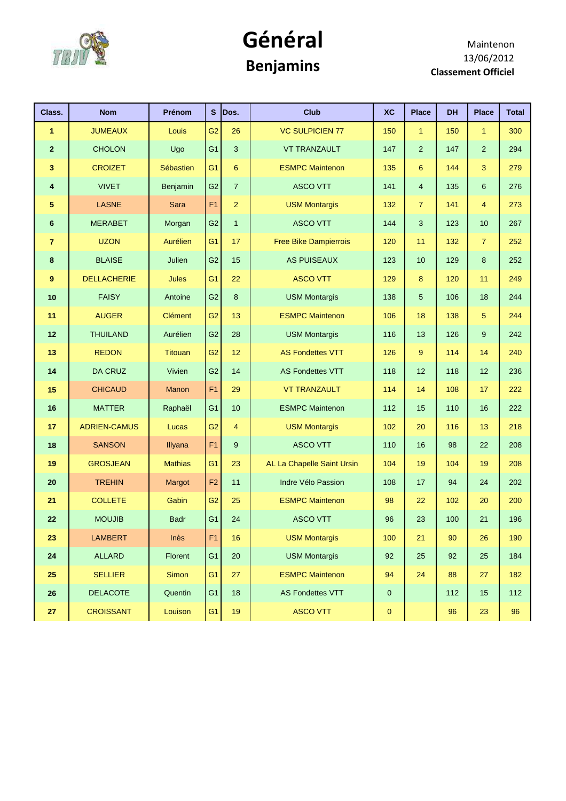

## **Général Benjamins**

| Class.          | <b>Nom</b>          | Prénom         | S              | Dos.           | <b>Club</b>                  | <b>XC</b>   | <b>Place</b>   | <b>DH</b> | <b>Place</b>   | <b>Total</b> |
|-----------------|---------------------|----------------|----------------|----------------|------------------------------|-------------|----------------|-----------|----------------|--------------|
| 1               | <b>JUMEAUX</b>      | Louis          | G <sub>2</sub> | 26             | <b>VC SULPICIEN 77</b>       | 150         | 1              | 150       | 1              | 300          |
| $\overline{2}$  | <b>CHOLON</b>       | Ugo            | G <sub>1</sub> | $\mathbf{3}$   | <b>VT TRANZAULT</b>          | 147         | $\overline{a}$ | 147       | $\overline{2}$ | 294          |
| $\mathbf{3}$    | <b>CROIZET</b>      | Sébastien      | G <sub>1</sub> | 6              | <b>ESMPC Maintenon</b>       | 135         | 6              | 144       | 3              | 279          |
| 4               | <b>VIVET</b>        | Benjamin       | G2             | $\overline{7}$ | <b>ASCO VTT</b>              | 141         | 4              | 135       | 6              | 276          |
| 5               | <b>LASNE</b>        | Sara           | F1             | $\overline{2}$ | <b>USM Montargis</b>         | 132         | $\overline{7}$ | 141       | $\overline{4}$ | 273          |
| $6\phantom{1}6$ | <b>MERABET</b>      | Morgan         | G <sub>2</sub> | $\mathbf{1}$   | <b>ASCO VTT</b>              | 144         | 3              | 123       | 10             | 267          |
| $\overline{7}$  | <b>UZON</b>         | Aurélien       | G <sub>1</sub> | 17             | <b>Free Bike Dampierrois</b> | 120         | 11             | 132       | $\overline{7}$ | 252          |
| 8               | <b>BLAISE</b>       | Julien         | G <sub>2</sub> | 15             | <b>AS PUISEAUX</b>           | 123         | 10             | 129       | 8              | 252          |
| 9               | <b>DELLACHERIE</b>  | Jules          | G <sub>1</sub> | 22             | <b>ASCO VTT</b>              | 129         | 8              | 120       | 11             | 249          |
| 10              | <b>FAISY</b>        | Antoine        | G <sub>2</sub> | 8              | <b>USM Montargis</b>         | 138         | 5              | 106       | 18             | 244          |
| 11              | <b>AUGER</b>        | Clément        | G <sub>2</sub> | 13             | <b>ESMPC Maintenon</b>       | 106         | 18             | 138       | 5              | 244          |
| 12              | <b>THUILAND</b>     | Aurélien       | G <sub>2</sub> | 28             | <b>USM Montargis</b>         | 116         | 13             | 126       | 9              | 242          |
| 13              | <b>REDON</b>        | <b>Titouan</b> | G <sub>2</sub> | 12             | <b>AS Fondettes VTT</b>      | 126         | 9              | 114       | 14             | 240          |
| 14              | <b>DA CRUZ</b>      | Vivien         | G <sub>2</sub> | 14             | <b>AS Fondettes VTT</b>      | 118         | 12             | 118       | 12             | 236          |
| 15              | <b>CHICAUD</b>      | <b>Manon</b>   | F1             | 29             | <b>VT TRANZAULT</b>          | 114         | 14             | 108       | 17             | 222          |
| 16              | <b>MATTER</b>       | Raphaël        | G <sub>1</sub> | 10             | <b>ESMPC Maintenon</b>       | 112         | 15             | 110       | 16             | 222          |
| 17              | <b>ADRIEN-CAMUS</b> | Lucas          | G <sub>2</sub> | $\overline{4}$ | <b>USM Montargis</b>         | 102         | 20             | 116       | 13             | 218          |
| 18              | <b>SANSON</b>       | Illyana        | F <sub>1</sub> | 9              | <b>ASCO VTT</b>              | 110         | 16             | 98        | 22             | 208          |
| 19              | <b>GROSJEAN</b>     | <b>Mathias</b> | G <sub>1</sub> | 23             | AL La Chapelle Saint Ursin   | 104         | 19             | 104       | 19             | 208          |
| 20              | <b>TREHIN</b>       | Margot         | F <sub>2</sub> | 11             | Indre Vélo Passion           | 108         | 17             | 94        | 24             | 202          |
| 21              | <b>COLLETE</b>      | Gabin          | G <sub>2</sub> | 25             | <b>ESMPC Maintenon</b>       | 98          | 22             | 102       | 20             | 200          |
| 22              | <b>MOUJIB</b>       | <b>Badr</b>    | G <sub>1</sub> | 24             | <b>ASCO VTT</b>              | 96          | 23             | 100       | 21             | 196          |
| 23              | <b>LAMBERT</b>      | Inès           | F <sub>1</sub> | 16             | <b>USM Montargis</b>         | 100         | 21             | 90        | 26             | 190          |
| ${\bf 24}$      | <b>ALLARD</b>       | <b>Florent</b> | G1             | 20             | <b>USM Montargis</b>         | 92          | 25             | 92        | 25             | 184          |
| 25              | <b>SELLIER</b>      | <b>Simon</b>   | G <sub>1</sub> | 27             | <b>ESMPC Maintenon</b>       | 94          | 24             | 88        | 27             | 182          |
| 26              | <b>DELACOTE</b>     | Quentin        | G <sub>1</sub> | 18             | AS Fondettes VTT             | $\mathbf 0$ |                | 112       | 15             | 112          |
| ${\bf 27}$      | <b>CROISSANT</b>    | Louison        | G <sub>1</sub> | $19$           | <b>ASCO VTT</b>              | $\pmb{0}$   |                | 96        | 23             | 96           |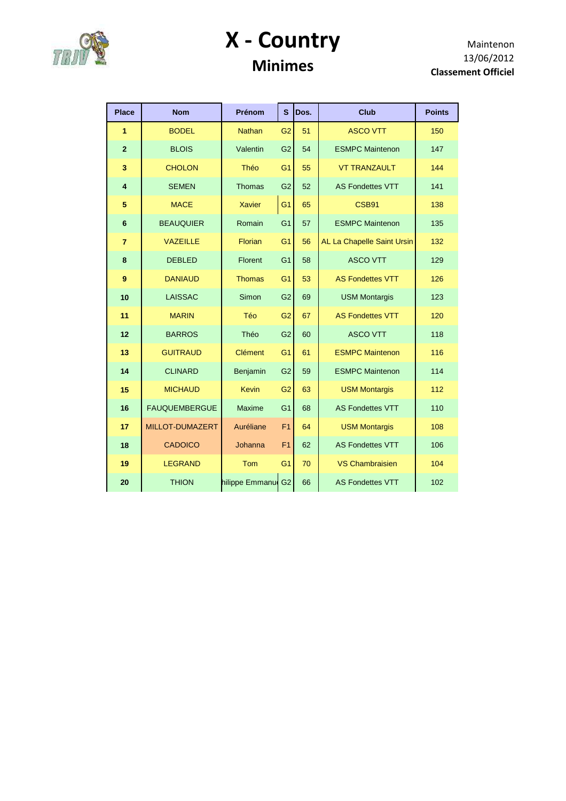

#### **X - Country Minimes**

| <b>Place</b>   | <b>Nom</b>           | Prénom             | S              | Dos. | <b>Club</b>                | <b>Points</b> |
|----------------|----------------------|--------------------|----------------|------|----------------------------|---------------|
| 1              | <b>BODEL</b>         | <b>Nathan</b>      | G <sub>2</sub> | 51   | <b>ASCO VTT</b>            | 150           |
| $\overline{2}$ | <b>BLOIS</b>         | Valentin           | G <sub>2</sub> | 54   | <b>ESMPC Maintenon</b>     | 147           |
| 3              | <b>CHOLON</b>        | Théo               | G <sub>1</sub> | 55   | <b>VT TRANZAULT</b>        | 144           |
| $\overline{4}$ | <b>SEMEN</b>         | <b>Thomas</b>      | G <sub>2</sub> | 52   | <b>AS Fondettes VTT</b>    | 141           |
| 5              | <b>MACE</b>          | <b>Xavier</b>      | G <sub>1</sub> | 65   | CSB91                      | 138           |
| $6\phantom{1}$ | <b>BEAUQUIER</b>     | Romain             | G <sub>1</sub> | 57   | <b>ESMPC Maintenon</b>     | 135           |
| $\overline{7}$ | <b>VAZEILLE</b>      | Florian            | G <sub>1</sub> | 56   | AL La Chapelle Saint Ursin | 132           |
| 8              | <b>DEBLED</b>        | Florent            | G <sub>1</sub> | 58   | <b>ASCO VTT</b>            | 129           |
| 9              | <b>DANIAUD</b>       | <b>Thomas</b>      | G <sub>1</sub> | 53   | <b>AS Fondettes VTT</b>    | 126           |
| 10             | <b>LAISSAC</b>       | Simon              | G <sub>2</sub> | 69   | <b>USM Montargis</b>       | 123           |
| 11             | <b>MARIN</b>         | Téo                | G <sub>2</sub> | 67   | <b>AS Fondettes VTT</b>    | 120           |
| 12             | <b>BARROS</b>        | Théo               | G <sub>2</sub> | 60   | <b>ASCO VTT</b>            | 118           |
| 13             | <b>GUITRAUD</b>      | <b>Clément</b>     | G <sub>1</sub> | 61   | <b>ESMPC Maintenon</b>     | 116           |
| 14             | <b>CLINARD</b>       | Benjamin           | G <sub>2</sub> | 59   | <b>ESMPC Maintenon</b>     | 114           |
| 15             | <b>MICHAUD</b>       | <b>Kevin</b>       | G <sub>2</sub> | 63   | <b>USM Montargis</b>       | 112           |
| 16             | <b>FAUQUEMBERGUE</b> | <b>Maxime</b>      | G <sub>1</sub> | 68   | <b>AS Fondettes VTT</b>    | 110           |
| 17             | MILLOT-DUMAZERT      | Auréliane          | F <sub>1</sub> | 64   | <b>USM Montargis</b>       | 108           |
| 18             | <b>CADOICO</b>       | Johanna            | F <sub>1</sub> | 62   | <b>AS Fondettes VTT</b>    | 106           |
| 19             | <b>LEGRAND</b>       | Tom                | G <sub>1</sub> | 70   | <b>VS Chambraisien</b>     | 104           |
| 20             | <b>THION</b>         | hilippe Emmanue G2 |                | 66   | <b>AS Fondettes VTT</b>    | 102           |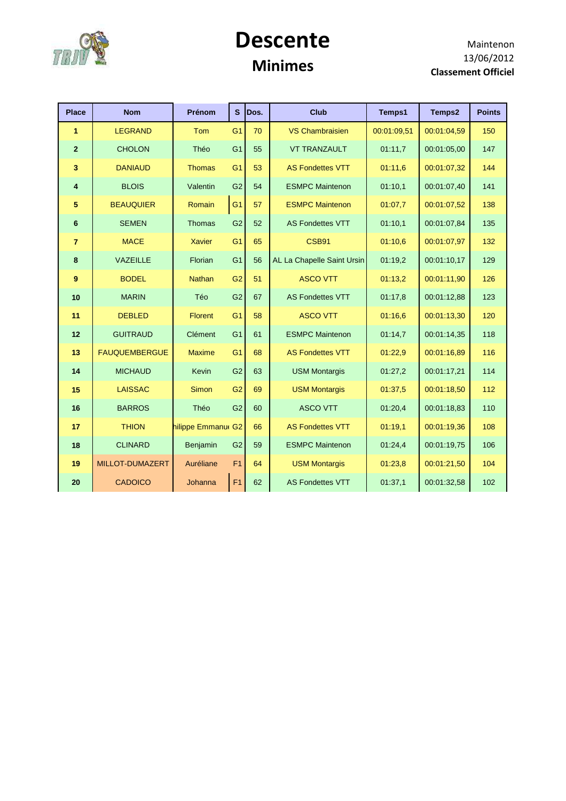

#### **Descente Minimes**

| <b>Place</b>   | <b>Nom</b>           | Prénom            | $\mathbf{s}$   | Dos. | <b>Club</b>                | Temps1      | Temps2      | <b>Points</b> |
|----------------|----------------------|-------------------|----------------|------|----------------------------|-------------|-------------|---------------|
| 1              | <b>LEGRAND</b>       | <b>Tom</b>        | G <sub>1</sub> | 70   | <b>VS Chambraisien</b>     | 00:01:09,51 | 00:01:04.59 | 150           |
| $\overline{2}$ | <b>CHOLON</b>        | Théo              | G <sub>1</sub> | 55   | <b>VT TRANZAULT</b>        | 01:11.7     | 00:01:05.00 | 147           |
| 3              | <b>DANIAUD</b>       | <b>Thomas</b>     | G <sub>1</sub> | 53   | <b>AS Fondettes VTT</b>    | 01:11,6     | 00:01:07.32 | 144           |
| 4              | <b>BLOIS</b>         | Valentin          | G <sub>2</sub> | 54   | <b>ESMPC Maintenon</b>     | 01:10,1     | 00:01:07,40 | 141           |
| 5              | <b>BEAUQUIER</b>     | Romain            | G <sub>1</sub> | 57   | <b>ESMPC Maintenon</b>     | 01:07,7     | 00:01:07.52 | 138           |
| 6              | <b>SEMEN</b>         | Thomas            | G <sub>2</sub> | 52   | <b>AS Fondettes VTT</b>    | 01:10,1     | 00:01:07.84 | 135           |
| $\overline{7}$ | <b>MACE</b>          | <b>Xavier</b>     | G <sub>1</sub> | 65   | CSB91                      | 01:10,6     | 00:01:07.97 | 132           |
| 8              | VAZEILLE             | Florian           | G <sub>1</sub> | 56   | AL La Chapelle Saint Ursin | 01:19,2     | 00:01:10,17 | 129           |
| 9              | <b>BODEL</b>         | <b>Nathan</b>     | G2             | 51   | <b>ASCO VTT</b>            | 01:13,2     | 00:01:11,90 | 126           |
| 10             | <b>MARIN</b>         | Téo               | G2             | 67   | <b>AS Fondettes VTT</b>    | 01:17,8     | 00:01:12,88 | 123           |
| 11             | <b>DEBLED</b>        | <b>Florent</b>    | G <sub>1</sub> | 58   | <b>ASCO VTT</b>            | 01:16.6     | 00:01:13,30 | 120           |
| 12             | <b>GUITRAUD</b>      | Clément           | G <sub>1</sub> | 61   | <b>ESMPC Maintenon</b>     | 01:14,7     | 00:01:14,35 | 118           |
| 13             | <b>FAUQUEMBERGUE</b> | <b>Maxime</b>     | G <sub>1</sub> | 68   | <b>AS Fondettes VTT</b>    | 01:22,9     | 00:01:16,89 | 116           |
| 14             | <b>MICHAUD</b>       | Kevin             | G2             | 63   | <b>USM Montargis</b>       | 01:27,2     | 00:01:17,21 | 114           |
| 15             | <b>LAISSAC</b>       | <b>Simon</b>      | G <sub>2</sub> | 69   | <b>USM Montargis</b>       | 01:37,5     | 00:01:18,50 | 112           |
| 16             | <b>BARROS</b>        | Théo              | G <sub>2</sub> | 60   | <b>ASCO VTT</b>            | 01:20,4     | 00:01:18.83 | 110           |
| 17             | <b>THION</b>         | hilippe Emmanu G2 |                | 66   | <b>AS Fondettes VTT</b>    | 01:19,1     | 00:01:19.36 | 108           |
| 18             | <b>CLINARD</b>       | Benjamin          | G2             | 59   | <b>ESMPC Maintenon</b>     | 01:24,4     | 00:01:19,75 | 106           |
| 19             | MILLOT-DUMAZERT      | Auréliane         | F <sub>1</sub> | 64   | <b>USM Montargis</b>       | 01:23,8     | 00:01:21.50 | 104           |
| 20             | <b>CADOICO</b>       | Johanna           | F <sub>1</sub> | 62   | <b>AS Fondettes VTT</b>    | 01:37,1     | 00:01:32,58 | 102           |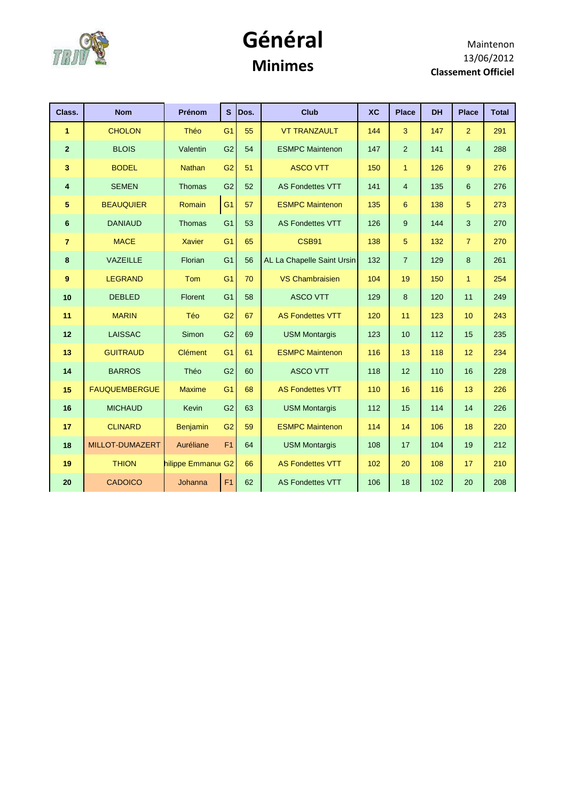

#### **Général Minimes**

| Class.                  | <b>Nom</b>           | Prénom            | $\mathbf{s}$   | Dos. | <b>Club</b>                | <b>XC</b> | <b>Place</b>   | <b>DH</b> | <b>Place</b>   | <b>Total</b> |
|-------------------------|----------------------|-------------------|----------------|------|----------------------------|-----------|----------------|-----------|----------------|--------------|
| 1                       | <b>CHOLON</b>        | Théo              | G <sub>1</sub> | 55   | <b>VT TRANZAULT</b>        | 144       | 3              | 147       | $\overline{2}$ | 291          |
| $\overline{2}$          | <b>BLOIS</b>         | Valentin          | G <sub>2</sub> | 54   | <b>ESMPC Maintenon</b>     | 147       | 2              | 141       | $\overline{4}$ | 288          |
| $\overline{\mathbf{3}}$ | <b>BODEL</b>         | <b>Nathan</b>     | G <sub>2</sub> | 51   | <b>ASCO VTT</b>            | 150       | $\mathbf{1}$   | 126       | 9              | 276          |
| 4                       | <b>SEMEN</b>         | <b>Thomas</b>     | G <sub>2</sub> | 52   | <b>AS Fondettes VTT</b>    | 141       | $\overline{4}$ | 135       | 6              | 276          |
| 5                       | <b>BEAUQUIER</b>     | Romain            | G <sub>1</sub> | 57   | <b>ESMPC Maintenon</b>     | 135       | 6              | 138       | 5              | 273          |
| 6                       | <b>DANIAUD</b>       | Thomas            | G <sub>1</sub> | 53   | <b>AS Fondettes VTT</b>    | 126       | 9              | 144       | 3              | 270          |
| $\overline{7}$          | <b>MACE</b>          | <b>Xavier</b>     | G <sub>1</sub> | 65   | CSB91                      | 138       | 5              | 132       | $\overline{7}$ | 270          |
| 8                       | VAZEILLE             | Florian           | G <sub>1</sub> | 56   | AL La Chapelle Saint Ursin | 132       | $\overline{7}$ | 129       | 8              | 261          |
| $\boldsymbol{9}$        | <b>LEGRAND</b>       | Tom               | G <sub>1</sub> | 70   | <b>VS Chambraisien</b>     | 104       | 19             | 150       | $\mathbf{1}$   | 254          |
| 10                      | <b>DEBLED</b>        | Florent           | G <sub>1</sub> | 58   | <b>ASCO VTT</b>            | 129       | 8              | 120       | 11             | 249          |
| 11                      | <b>MARIN</b>         | Téo               | G <sub>2</sub> | 67   | <b>AS Fondettes VTT</b>    | 120       | 11             | 123       | 10             | 243          |
| 12                      | <b>LAISSAC</b>       | Simon             | G <sub>2</sub> | 69   | <b>USM Montargis</b>       | 123       | 10             | 112       | 15             | 235          |
| 13                      | <b>GUITRAUD</b>      | <b>Clément</b>    | G <sub>1</sub> | 61   | <b>ESMPC Maintenon</b>     | 116       | 13             | 118       | 12             | 234          |
| 14                      | <b>BARROS</b>        | Théo              | G <sub>2</sub> | 60   | <b>ASCO VTT</b>            | 118       | 12             | 110       | 16             | 228          |
| 15                      | <b>FAUQUEMBERGUE</b> | <b>Maxime</b>     | G <sub>1</sub> | 68   | <b>AS Fondettes VTT</b>    | 110       | 16             | 116       | 13             | 226          |
| 16                      | <b>MICHAUD</b>       | Kevin             | G <sub>2</sub> | 63   | <b>USM Montargis</b>       | 112       | 15             | 114       | 14             | 226          |
| 17                      | <b>CLINARD</b>       | <b>Benjamin</b>   | G <sub>2</sub> | 59   | <b>ESMPC Maintenon</b>     | 114       | 14             | 106       | 18             | 220          |
| 18                      | MILLOT-DUMAZERT      | Auréliane         | F <sub>1</sub> | 64   | <b>USM Montargis</b>       | 108       | 17             | 104       | 19             | 212          |
| 19                      | <b>THION</b>         | hilippe Emmanu G2 |                | 66   | <b>AS Fondettes VTT</b>    | 102       | 20             | 108       | 17             | 210          |
| 20                      | <b>CADOICO</b>       | Johanna           | F <sub>1</sub> | 62   | <b>AS Fondettes VTT</b>    | 106       | 18             | 102       | 20             | 208          |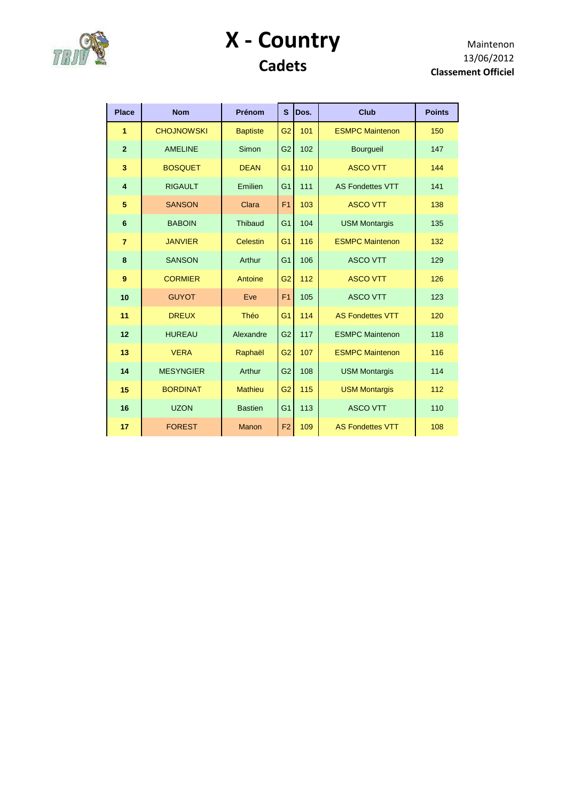

#### **X - Country Cadets**

| <b>Place</b>   | <b>Nom</b>        | Prénom          | S              | Dos.                           | Club                    | <b>Points</b> |
|----------------|-------------------|-----------------|----------------|--------------------------------|-------------------------|---------------|
| 1              | <b>CHOJNOWSKI</b> | <b>Baptiste</b> | G <sub>2</sub> | 101<br><b>ESMPC Maintenon</b>  |                         | 150           |
| $\overline{2}$ | <b>AMELINE</b>    | Simon           | G <sub>2</sub> | 102<br><b>Bourgueil</b>        |                         | 147           |
| 3              | <b>BOSQUET</b>    | <b>DEAN</b>     | G <sub>1</sub> | <b>ASCO VTT</b><br>110         |                         | 144           |
| $\overline{4}$ | <b>RIGAULT</b>    | Emilien         | G <sub>1</sub> | 111                            | <b>AS Fondettes VTT</b> | 141           |
| 5              | <b>SANSON</b>     | Clara           | F <sub>1</sub> | 103                            | <b>ASCO VTT</b>         | 138           |
| 6              | <b>BABOIN</b>     | <b>Thibaud</b>  | G <sub>1</sub> | 104                            | <b>USM Montargis</b>    | 135           |
| $\overline{7}$ | <b>JANVIER</b>    | Celestin        | G <sub>1</sub> | 116<br><b>ESMPC Maintenon</b>  |                         | 132           |
| 8              | <b>SANSON</b>     | Arthur          | G <sub>1</sub> | 106                            | <b>ASCO VTT</b>         | 129           |
| 9              | <b>CORMIER</b>    | Antoine         | G <sub>2</sub> | 112<br><b>ASCO VTT</b>         |                         | 126           |
| 10             | <b>GUYOT</b>      | Eve             | F <sub>1</sub> | 105<br><b>ASCO VTT</b>         |                         | 123           |
| 11             | <b>DREUX</b>      | Théo            | G <sub>1</sub> | 114<br><b>AS Fondettes VTT</b> |                         | 120           |
| 12             | <b>HUREAU</b>     | Alexandre       | G <sub>2</sub> | 117<br><b>ESMPC Maintenon</b>  |                         | 118           |
| 13             | <b>VERA</b>       | Raphaël         | G <sub>2</sub> | 107<br><b>ESMPC Maintenon</b>  |                         | 116           |
| 14             | <b>MESYNGIER</b>  | Arthur          | G <sub>2</sub> | 108<br><b>USM Montargis</b>    |                         | 114           |
| 15             | <b>BORDINAT</b>   | <b>Mathieu</b>  | G <sub>2</sub> | 115<br><b>USM Montargis</b>    |                         | 112           |
| 16             | <b>UZON</b>       | <b>Bastien</b>  | G <sub>1</sub> | <b>ASCO VTT</b><br>113         |                         | 110           |
| 17             | <b>FOREST</b>     | <b>Manon</b>    | F <sub>2</sub> | 109<br><b>AS Fondettes VTT</b> |                         | 108           |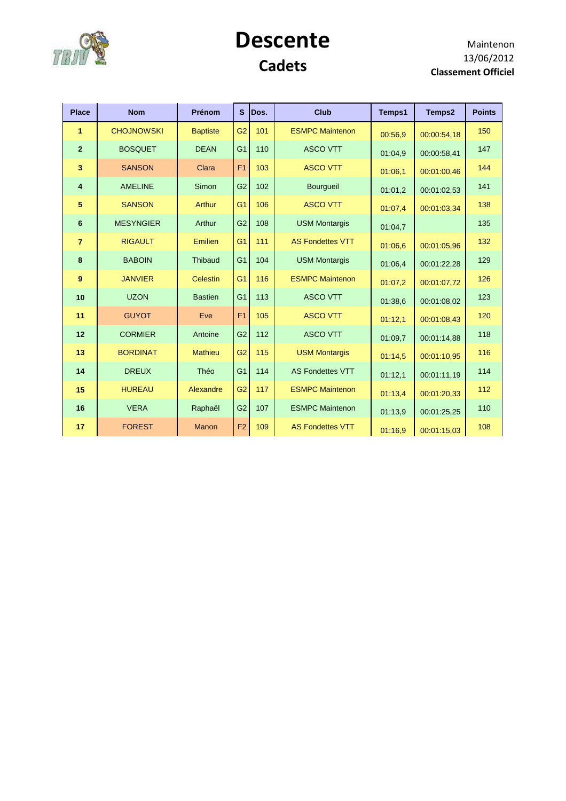

#### **Descente Cadets**

| <b>Place</b>            | <b>Nom</b>        | Prénom          | S              | Dos. | <b>Club</b>             | Temps1  | Temps2      | <b>Points</b> |
|-------------------------|-------------------|-----------------|----------------|------|-------------------------|---------|-------------|---------------|
| 1                       | <b>CHOJNOWSKI</b> | <b>Baptiste</b> | G <sub>2</sub> | 101  | <b>ESMPC Maintenon</b>  | 00:56.9 | 00:00:54,18 | 150           |
| $\mathbf{2}$            | <b>BOSQUET</b>    | <b>DEAN</b>     | G <sub>1</sub> | 110  | <b>ASCO VTT</b>         | 01:04.9 | 00:00:58,41 | 147           |
| $\overline{\mathbf{3}}$ | <b>SANSON</b>     | Clara           | F <sub>1</sub> | 103  | <b>ASCO VTT</b>         | 01:06,1 | 00:01:00,46 | 144           |
| $\overline{\mathbf{4}}$ | <b>AMELINE</b>    | Simon           | G <sub>2</sub> | 102  | Bourgueil               | 01:01,2 | 00:01:02,53 | 141           |
| 5                       | <b>SANSON</b>     | Arthur          | G <sub>1</sub> | 106  | <b>ASCO VTT</b>         | 01:07.4 | 00:01:03.34 | 138           |
| 6                       | <b>MESYNGIER</b>  | Arthur          | G <sub>2</sub> | 108  | <b>USM Montargis</b>    | 01:04,7 |             | 135           |
| $\overline{7}$          | <b>RIGAULT</b>    | Emilien         | G <sub>1</sub> | 111  | <b>AS Fondettes VTT</b> | 01:06.6 | 00:01:05,96 | 132           |
| 8                       | <b>BABOIN</b>     | Thibaud         | G <sub>1</sub> | 104  | <b>USM Montargis</b>    | 01:06.4 | 00:01:22,28 | 129           |
| 9                       | <b>JANVIER</b>    | Celestin        | G <sub>1</sub> | 116  | <b>ESMPC Maintenon</b>  | 01:07,2 | 00:01:07,72 | 126           |
| 10                      | <b>UZON</b>       | <b>Bastien</b>  | G <sub>1</sub> | 113  | <b>ASCO VTT</b>         | 01:38.6 | 00:01:08.02 | 123           |
| 11                      | <b>GUYOT</b>      | Eve             | F <sub>1</sub> | 105  | <b>ASCO VTT</b>         | 01:12.1 | 00:01:08,43 | 120           |
| 12                      | <b>CORMIER</b>    | Antoine         | G <sub>2</sub> | 112  | <b>ASCO VTT</b>         | 01:09.7 | 00:01:14,88 | 118           |
| 13                      | <b>BORDINAT</b>   | <b>Mathieu</b>  | G <sub>2</sub> | 115  | <b>USM Montargis</b>    | 01:14,5 | 00:01:10.95 | 116           |
| 14                      | <b>DREUX</b>      | Théo            | G <sub>1</sub> | 114  | <b>AS Fondettes VTT</b> | 01:12.1 | 00:01:11,19 | 114           |
| 15                      | <b>HUREAU</b>     | Alexandre       | G <sub>2</sub> | 117  | <b>ESMPC Maintenon</b>  | 01:13,4 | 00:01:20,33 | 112           |
| 16                      | <b>VERA</b>       | Raphaël         | G <sub>2</sub> | 107  | <b>ESMPC Maintenon</b>  | 01:13,9 | 00:01:25,25 | 110           |
| 17                      | <b>FOREST</b>     | Manon           | F <sub>2</sub> | 109  | <b>AS Fondettes VTT</b> | 01:16,9 | 00:01:15,03 | 108           |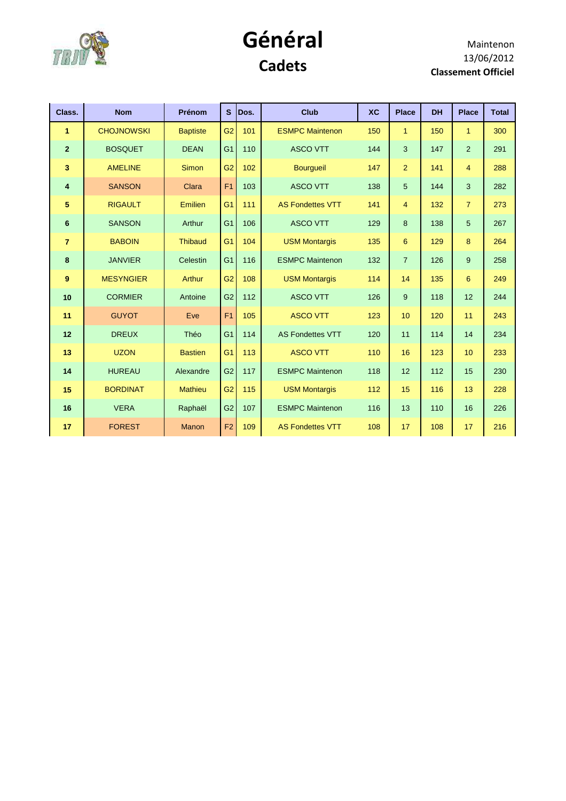

#### **Général Cadets**

| Class.                  | <b>Nom</b>        | Prénom          | S              | Dos. | Club                    | <b>XC</b> | <b>Place</b>   | <b>DH</b> | <b>Place</b>   | <b>Total</b> |
|-------------------------|-------------------|-----------------|----------------|------|-------------------------|-----------|----------------|-----------|----------------|--------------|
| $\mathbf{1}$            | <b>CHOJNOWSKI</b> | <b>Baptiste</b> | G2             | 101  | <b>ESMPC Maintenon</b>  | 150       | $\mathbf{1}$   | 150       | $\mathbf{1}$   | 300          |
| $\overline{2}$          | <b>BOSQUET</b>    | <b>DEAN</b>     | G <sub>1</sub> | 110  | <b>ASCO VTT</b>         | 144       | 3              | 147       | 2              | 291          |
| 3                       | <b>AMELINE</b>    | <b>Simon</b>    | G2             | 102  | <b>Bourgueil</b>        | 147       | $\overline{2}$ | 141       | $\overline{4}$ | 288          |
| $\overline{\mathbf{4}}$ | <b>SANSON</b>     | Clara           | F <sub>1</sub> | 103  | <b>ASCO VTT</b>         | 138       | 5              | 144       | 3              | 282          |
| 5                       | <b>RIGAULT</b>    | Emilien         | G <sub>1</sub> | 111  | <b>AS Fondettes VTT</b> | 141       | $\overline{4}$ | 132       | $\overline{7}$ | 273          |
| $6\phantom{1}6$         | <b>SANSON</b>     | Arthur          | G <sub>1</sub> | 106  | <b>ASCO VTT</b>         | 129       | 8              | 138       | 5              | 267          |
| $\overline{7}$          | <b>BABOIN</b>     | <b>Thibaud</b>  | G <sub>1</sub> | 104  | <b>USM Montargis</b>    | 135       | 6              | 129       | 8              | 264          |
| 8                       | <b>JANVIER</b>    | Celestin        | G <sub>1</sub> | 116  | <b>ESMPC Maintenon</b>  | 132       | $\overline{7}$ | 126       | 9              | 258          |
| 9                       | <b>MESYNGIER</b>  | Arthur          | G2             | 108  | <b>USM Montargis</b>    | 114       | 14             | 135       | 6              | 249          |
| 10                      | <b>CORMIER</b>    | Antoine         | G2             | 112  | <b>ASCO VTT</b>         | 126       | 9              | 118       | 12             | 244          |
| 11                      | <b>GUYOT</b>      | Eve             | F <sub>1</sub> | 105  | <b>ASCO VTT</b>         | 123       | 10             | 120       | 11             | 243          |
| 12                      | <b>DREUX</b>      | Théo            | G <sub>1</sub> | 114  | <b>AS Fondettes VTT</b> | 120       | 11             | 114       | 14             | 234          |
| 13                      | <b>UZON</b>       | <b>Bastien</b>  | G <sub>1</sub> | 113  | <b>ASCO VTT</b>         | 110       | 16             | 123       | 10             | 233          |
| 14                      | <b>HUREAU</b>     | Alexandre       | G2             | 117  | <b>ESMPC Maintenon</b>  | 118       | 12             | 112       | 15             | 230          |
| 15                      | <b>BORDINAT</b>   | <b>Mathieu</b>  | G2             | 115  | <b>USM Montargis</b>    | 112       | 15             | 116       | 13             | 228          |
| 16                      | <b>VERA</b>       | Raphaël         | G2             | 107  | <b>ESMPC Maintenon</b>  | 116       | 13             | 110       | 16             | 226          |
| 17                      | <b>FOREST</b>     | <b>Manon</b>    | F <sub>2</sub> | 109  | <b>AS Fondettes VTT</b> | 108       | 17             | 108       | 17             | 216          |